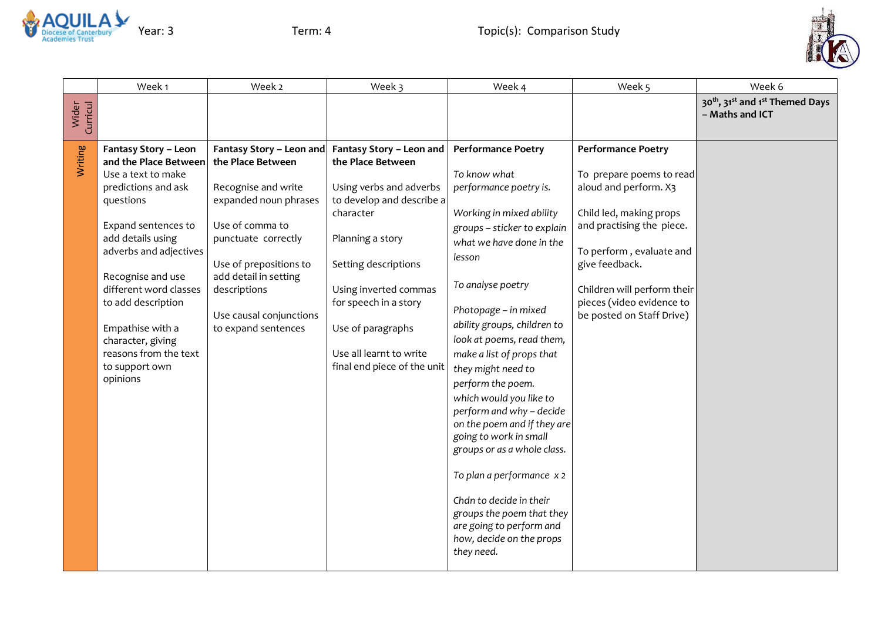



|                   | Week 1                                                                                                                                                                                                                                                                                                                                                    | Week 2                                                                                                                                                                                                                                                       | Week 3                                                                                                                                                                                                                                                                                          | Week 4                                                                                                                                                                                                                                                                                                                                                                                                                                                                                                                                                                                                                                                          | Week 5                                                                                                                                                                                                                                                                        | Week 6                                                                                 |
|-------------------|-----------------------------------------------------------------------------------------------------------------------------------------------------------------------------------------------------------------------------------------------------------------------------------------------------------------------------------------------------------|--------------------------------------------------------------------------------------------------------------------------------------------------------------------------------------------------------------------------------------------------------------|-------------------------------------------------------------------------------------------------------------------------------------------------------------------------------------------------------------------------------------------------------------------------------------------------|-----------------------------------------------------------------------------------------------------------------------------------------------------------------------------------------------------------------------------------------------------------------------------------------------------------------------------------------------------------------------------------------------------------------------------------------------------------------------------------------------------------------------------------------------------------------------------------------------------------------------------------------------------------------|-------------------------------------------------------------------------------------------------------------------------------------------------------------------------------------------------------------------------------------------------------------------------------|----------------------------------------------------------------------------------------|
| Wider<br>Curricul |                                                                                                                                                                                                                                                                                                                                                           |                                                                                                                                                                                                                                                              |                                                                                                                                                                                                                                                                                                 |                                                                                                                                                                                                                                                                                                                                                                                                                                                                                                                                                                                                                                                                 |                                                                                                                                                                                                                                                                               | 30 <sup>th</sup> , 31 <sup>st</sup> and 1 <sup>st</sup> Themed Days<br>- Maths and ICT |
| Writing           | <b>Fantasy Story - Leon</b><br>and the Place Between<br>Use a text to make<br>predictions and ask<br>questions<br>Expand sentences to<br>add details using<br>adverbs and adjectives<br>Recognise and use<br>different word classes<br>to add description<br>Empathise with a<br>character, giving<br>reasons from the text<br>to support own<br>opinions | Fantasy Story - Leon and<br>the Place Between<br>Recognise and write<br>expanded noun phrases<br>Use of comma to<br>punctuate correctly<br>Use of prepositions to<br>add detail in setting<br>descriptions<br>Use causal conjunctions<br>to expand sentences | Fantasy Story - Leon and<br>the Place Between<br>Using verbs and adverbs<br>to develop and describe a<br>character<br>Planning a story<br>Setting descriptions<br>Using inverted commas<br>for speech in a story<br>Use of paragraphs<br>Use all learnt to write<br>final end piece of the unit | <b>Performance Poetry</b><br>To know what<br>performance poetry is.<br>Working in mixed ability<br>groups - sticker to explain<br>what we have done in the<br>lesson<br>To analyse poetry<br>Photopage - in mixed<br>ability groups, children to<br>look at poems, read them,<br>make a list of props that<br>they might need to<br>perform the poem.<br>which would you like to<br>perform and why - decide<br>on the poem and if they are<br>going to work in small<br>groups or as a whole class.<br>To plan a performance x 2<br>Chdn to decide in their<br>groups the poem that they<br>are going to perform and<br>how, decide on the props<br>they need. | <b>Performance Poetry</b><br>To prepare poems to read<br>aloud and perform. X3<br>Child led, making props<br>and practising the piece.<br>To perform, evaluate and<br>give feedback.<br>Children will perform their<br>pieces (video evidence to<br>be posted on Staff Drive) |                                                                                        |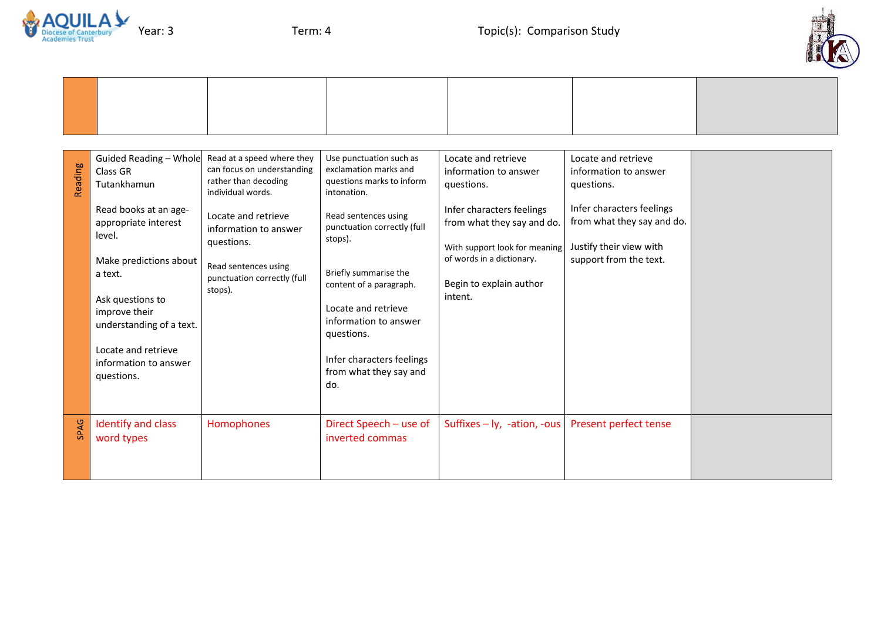



| Reading | Guided Reading - Whole<br>Class GR<br>Tutankhamun<br>Read books at an age-<br>appropriate interest<br>level.<br>Make predictions about<br>a text.<br>Ask questions to<br>improve their<br>understanding of a text.<br>Locate and retrieve<br>information to answer<br>questions. | Read at a speed where they<br>can focus on understanding<br>rather than decoding<br>individual words.<br>Locate and retrieve<br>information to answer<br>questions.<br>Read sentences using<br>punctuation correctly (full<br>stops). | Use punctuation such as<br>exclamation marks and<br>questions marks to inform<br>intonation.<br>Read sentences using<br>punctuation correctly (full<br>stops).<br>Briefly summarise the<br>content of a paragraph.<br>Locate and retrieve<br>information to answer<br>questions.<br>Infer characters feelings<br>from what they say and<br>do. | Locate and retrieve<br>information to answer<br>questions.<br>Infer characters feelings<br>from what they say and do.<br>With support look for meaning<br>of words in a dictionary.<br>Begin to explain author<br>intent. | Locate and retrieve<br>information to answer<br>questions.<br>Infer characters feelings<br>from what they say and do.<br>Justify their view with<br>support from the text. |  |
|---------|----------------------------------------------------------------------------------------------------------------------------------------------------------------------------------------------------------------------------------------------------------------------------------|---------------------------------------------------------------------------------------------------------------------------------------------------------------------------------------------------------------------------------------|------------------------------------------------------------------------------------------------------------------------------------------------------------------------------------------------------------------------------------------------------------------------------------------------------------------------------------------------|---------------------------------------------------------------------------------------------------------------------------------------------------------------------------------------------------------------------------|----------------------------------------------------------------------------------------------------------------------------------------------------------------------------|--|
| SPAG    | Identify and class<br>word types                                                                                                                                                                                                                                                 | Homophones                                                                                                                                                                                                                            | Direct Speech - use of<br>inverted commas                                                                                                                                                                                                                                                                                                      | Suffixes $-$ ly, -ation, -ous                                                                                                                                                                                             | Present perfect tense                                                                                                                                                      |  |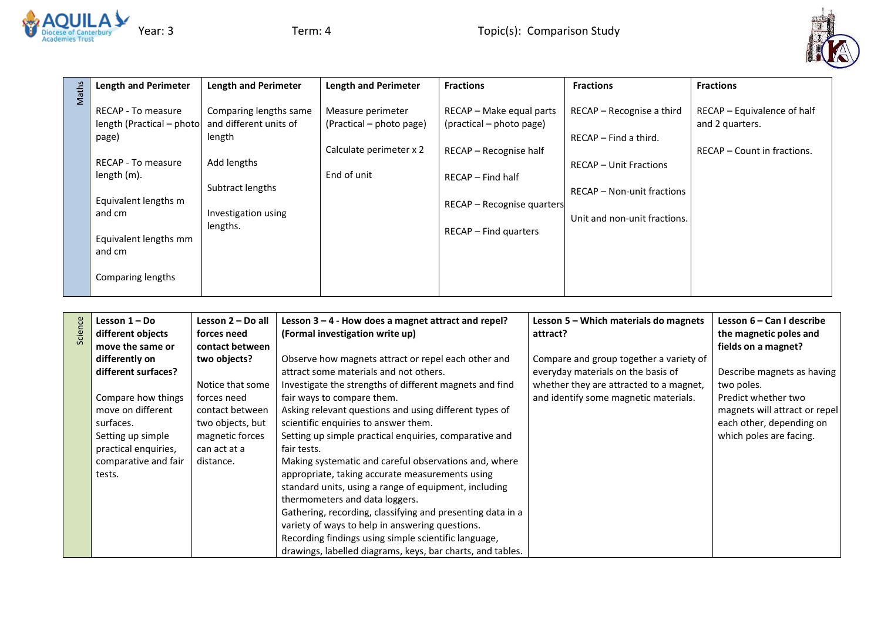



| Maths | <b>Length and Perimeter</b>                                                                                                                                                                     | <b>Length and Perimeter</b>                                                                                                      | <b>Length and Perimeter</b>                                                             | <b>Fractions</b>                                                                                                                                             | <b>Fractions</b>                                                                                                                                           | <b>Fractions</b>                                                              |
|-------|-------------------------------------------------------------------------------------------------------------------------------------------------------------------------------------------------|----------------------------------------------------------------------------------------------------------------------------------|-----------------------------------------------------------------------------------------|--------------------------------------------------------------------------------------------------------------------------------------------------------------|------------------------------------------------------------------------------------------------------------------------------------------------------------|-------------------------------------------------------------------------------|
|       | <b>RECAP - To measure</b><br>length (Practical – photo)<br>page)<br>RECAP - To measure<br>length (m).<br>Equivalent lengths m<br>and cm<br>Equivalent lengths mm<br>and cm<br>Comparing lengths | Comparing lengths same<br>and different units of<br>length<br>Add lengths<br>Subtract lengths<br>Investigation using<br>lengths. | Measure perimeter<br>(Practical – photo page)<br>Calculate perimeter x 2<br>End of unit | RECAP - Make equal parts<br>(practical – photo page)<br>RECAP - Recognise half<br>RECAP - Find half<br>RECAP - Recognise quarters<br>$RECAP - Find quarters$ | RECAP - Recognise a third<br>$RECAP$ – Find a third.<br><b>RECAP - Unit Fractions</b><br><b>RECAP - Non-unit fractions</b><br>Unit and non-unit fractions. | RECAP - Equivalence of half<br>and 2 quarters.<br>RECAP – Count in fractions. |

|         | Lesson $1 - Do$      | Lesson 2 - Do all | Lesson $3 - 4$ - How does a magnet attract and repel?      | Lesson 5 – Which materials do magnets   | Lesson 6 – Can I describe     |
|---------|----------------------|-------------------|------------------------------------------------------------|-----------------------------------------|-------------------------------|
| Science | different objects    | forces need       | (Formal investigation write up)                            | attract?                                | the magnetic poles and        |
|         | move the same or     | contact between   |                                                            |                                         | fields on a magnet?           |
|         | differently on       | two objects?      | Observe how magnets attract or repel each other and        | Compare and group together a variety of |                               |
|         | different surfaces?  |                   | attract some materials and not others.                     | everyday materials on the basis of      | Describe magnets as having    |
|         |                      | Notice that some  | Investigate the strengths of different magnets and find    | whether they are attracted to a magnet, | two poles.                    |
|         | Compare how things   | forces need       | fair ways to compare them.                                 | and identify some magnetic materials.   | Predict whether two           |
|         | move on different    | contact between   | Asking relevant questions and using different types of     |                                         | magnets will attract or repel |
|         | surfaces.            | two objects, but  | scientific enquiries to answer them.                       |                                         | each other, depending on      |
|         | Setting up simple    | magnetic forces   | Setting up simple practical enquiries, comparative and     |                                         | which poles are facing.       |
|         | practical enquiries, | can act at a      | fair tests.                                                |                                         |                               |
|         | comparative and fair | distance.         | Making systematic and careful observations and, where      |                                         |                               |
|         | tests.               |                   | appropriate, taking accurate measurements using            |                                         |                               |
|         |                      |                   | standard units, using a range of equipment, including      |                                         |                               |
|         |                      |                   | thermometers and data loggers.                             |                                         |                               |
|         |                      |                   | Gathering, recording, classifying and presenting data in a |                                         |                               |
|         |                      |                   | variety of ways to help in answering questions.            |                                         |                               |
|         |                      |                   | Recording findings using simple scientific language,       |                                         |                               |
|         |                      |                   | drawings, labelled diagrams, keys, bar charts, and tables. |                                         |                               |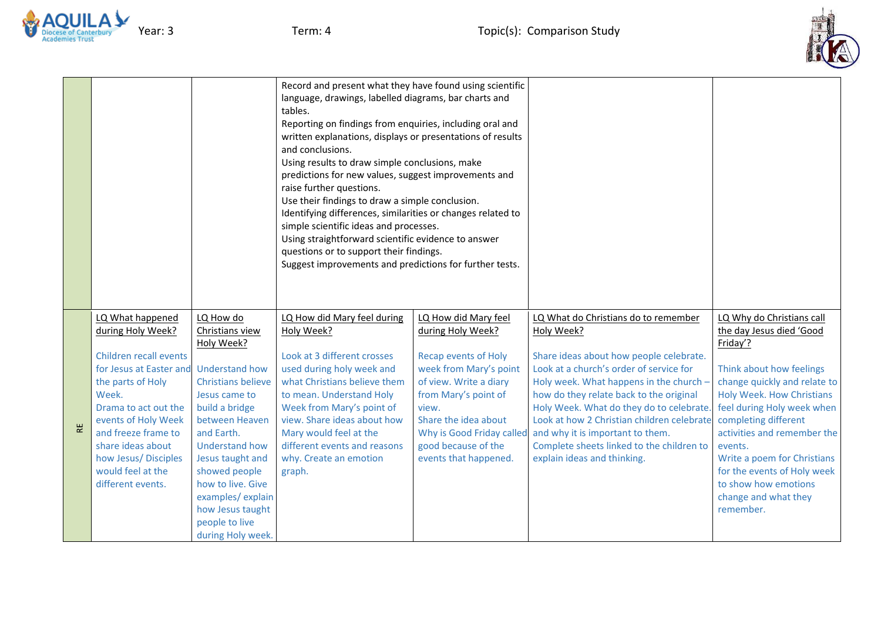



|                                                                                                                                                                                                                                                                                                     |                                                                                                                                                                                                                                                                                                              | Record and present what they have found using scientific<br>language, drawings, labelled diagrams, bar charts and<br>tables.<br>Reporting on findings from enquiries, including oral and<br>written explanations, displays or presentations of results<br>and conclusions.<br>Using results to draw simple conclusions, make<br>predictions for new values, suggest improvements and<br>raise further questions.<br>Use their findings to draw a simple conclusion.<br>Identifying differences, similarities or changes related to<br>simple scientific ideas and processes.<br>Using straightforward scientific evidence to answer<br>questions or to support their findings.<br>Suggest improvements and predictions for further tests. |                                                                                                                                                                                                                                                                    |                                                                                                                                                                                                                                                                                                                                                                                                                                          |                                                                                                                                                                                                                                                                                                                                                                                              |
|-----------------------------------------------------------------------------------------------------------------------------------------------------------------------------------------------------------------------------------------------------------------------------------------------------|--------------------------------------------------------------------------------------------------------------------------------------------------------------------------------------------------------------------------------------------------------------------------------------------------------------|-------------------------------------------------------------------------------------------------------------------------------------------------------------------------------------------------------------------------------------------------------------------------------------------------------------------------------------------------------------------------------------------------------------------------------------------------------------------------------------------------------------------------------------------------------------------------------------------------------------------------------------------------------------------------------------------------------------------------------------------|--------------------------------------------------------------------------------------------------------------------------------------------------------------------------------------------------------------------------------------------------------------------|------------------------------------------------------------------------------------------------------------------------------------------------------------------------------------------------------------------------------------------------------------------------------------------------------------------------------------------------------------------------------------------------------------------------------------------|----------------------------------------------------------------------------------------------------------------------------------------------------------------------------------------------------------------------------------------------------------------------------------------------------------------------------------------------------------------------------------------------|
| LQ What happened<br>during Holy Week?<br>Children recall events<br>for Jesus at Easter and Understand how<br>the parts of Holy<br>Week.<br>Drama to act out the<br>events of Holy Week<br>and freeze frame to<br>share ideas about<br>how Jesus/Disciples<br>would feel at the<br>different events. | LQ How do<br>Christians view<br>Holy Week?<br><b>Christians believe</b><br>Jesus came to<br>build a bridge<br>between Heaven<br>and Earth.<br><b>Understand how</b><br>Jesus taught and<br>showed people<br>how to live. Give<br>examples/explain<br>how Jesus taught<br>people to live<br>during Holy week. | LQ How did Mary feel during<br>Holy Week?<br>Look at 3 different crosses<br>used during holy week and<br>what Christians believe them<br>to mean. Understand Holy<br>Week from Mary's point of<br>view. Share ideas about how<br>Mary would feel at the<br>different events and reasons<br>why. Create an emotion<br>graph.                                                                                                                                                                                                                                                                                                                                                                                                               | LQ How did Mary feel<br>during Holy Week?<br><b>Recap events of Holy</b><br>week from Mary's point<br>of view. Write a diary<br>from Mary's point of<br>view.<br>Share the idea about<br>Why is Good Friday called<br>good because of the<br>events that happened. | LQ What do Christians do to remember<br>Holy Week?<br>Share ideas about how people celebrate.<br>Look at a church's order of service for<br>Holy week. What happens in the church -<br>how do they relate back to the original<br>Holy Week. What do they do to celebrate.<br>Look at how 2 Christian children celebrate<br>and why it is important to them.<br>Complete sheets linked to the children to<br>explain ideas and thinking. | LQ Why do Christians call<br>the day Jesus died 'Good<br>Friday'?<br>Think about how feelings<br>change quickly and relate to<br><b>Holy Week. How Christians</b><br>feel during Holy week when<br>completing different<br>activities and remember the<br>events.<br>Write a poem for Christians<br>for the events of Holy week<br>to show how emotions<br>change and what they<br>remember. |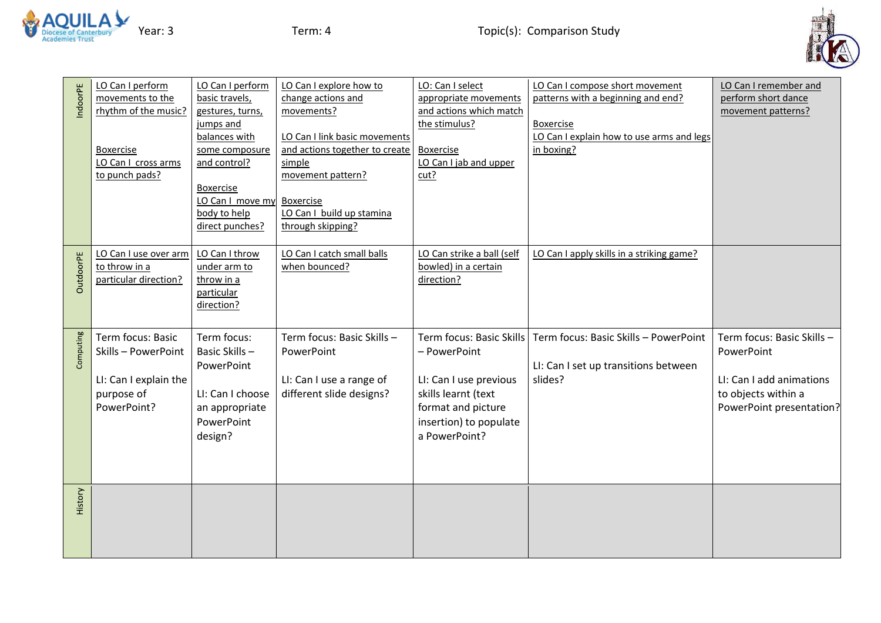



| IndoorPE         | LO Can I perform<br>movements to the<br>rhythm of the music?<br><b>Boxercise</b><br>LO Can I cross arms<br>to punch pads? | LO Can I perform<br>basic travels,<br>gestures, turns,<br>jumps and<br>balances with<br>some composure<br>and control?<br><b>Boxercise</b><br>LO Can I move my<br>body to help<br>direct punches? | LO Can I explore how to<br>change actions and<br>movements?<br>LO Can I link basic movements<br>and actions together to create<br>simple<br>movement pattern?<br><b>Boxercise</b><br>LO Can I build up stamina<br>through skipping? | LO: Can I select<br>appropriate movements<br>and actions which match<br>the stimulus?<br><b>Boxercise</b><br>LO Can I jab and upper<br>cut?                | LO Can I compose short movement<br>patterns with a beginning and end?<br><b>Boxercise</b><br>LO Can I explain how to use arms and legs<br>in boxing? | LO Can I remember and<br>perform short dance<br>movement patterns?                                                      |
|------------------|---------------------------------------------------------------------------------------------------------------------------|---------------------------------------------------------------------------------------------------------------------------------------------------------------------------------------------------|-------------------------------------------------------------------------------------------------------------------------------------------------------------------------------------------------------------------------------------|------------------------------------------------------------------------------------------------------------------------------------------------------------|------------------------------------------------------------------------------------------------------------------------------------------------------|-------------------------------------------------------------------------------------------------------------------------|
| <b>OutdoorPE</b> | LO Can I use over arm<br>to throw in a<br>particular direction?                                                           | LO Can I throw<br>under arm to<br>throw in a<br>particular<br>direction?                                                                                                                          | LO Can I catch small balls<br>when bounced?                                                                                                                                                                                         | LO Can strike a ball (self<br>bowled) in a certain<br>direction?                                                                                           | LO Can I apply skills in a striking game?                                                                                                            |                                                                                                                         |
| Computing        | Term focus: Basic<br>Skills - PowerPoint<br>LI: Can I explain the<br>purpose of<br>PowerPoint?                            | Term focus:<br>Basic Skills-<br>PowerPoint<br>LI: Can I choose<br>an appropriate<br>PowerPoint<br>design?                                                                                         | Term focus: Basic Skills -<br>PowerPoint<br>LI: Can I use a range of<br>different slide designs?                                                                                                                                    | Term focus: Basic Skills<br>- PowerPoint<br>LI: Can I use previous<br>skills learnt (text<br>format and picture<br>insertion) to populate<br>a PowerPoint? | Term focus: Basic Skills - PowerPoint<br>LI: Can I set up transitions between<br>slides?                                                             | Term focus: Basic Skills -<br>PowerPoint<br>LI: Can I add animations<br>to objects within a<br>PowerPoint presentation? |
| History          |                                                                                                                           |                                                                                                                                                                                                   |                                                                                                                                                                                                                                     |                                                                                                                                                            |                                                                                                                                                      |                                                                                                                         |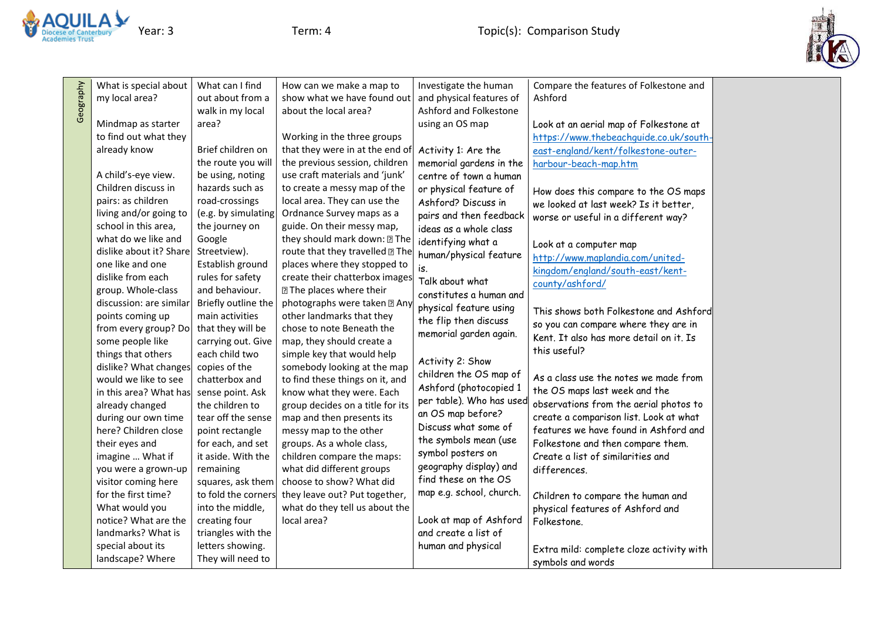



| What is special about   | What can I find     | How can we make a map to         | Investigate the human    | Compare the features of Folkestone and   |  |
|-------------------------|---------------------|----------------------------------|--------------------------|------------------------------------------|--|
| my local area?          | out about from a    | show what we have found out      | and physical features of | Ashford                                  |  |
|                         | walk in my local    | about the local area?            | Ashford and Folkestone   |                                          |  |
| Mindmap as starter      | area?               |                                  | using an OS map          | Look at an aerial map of Folkestone at   |  |
| to find out what they   |                     | Working in the three groups      |                          | https://www.thebeachquide.co.uk/south-   |  |
| already know            | Brief children on   | that they were in at the end of  | Activity 1: Are the      | east-england/kent/folkestone-outer-      |  |
|                         | the route you will  | the previous session, children   | memorial gardens in the  | harbour-beach-map.htm                    |  |
| A child's-eye view.     | be using, noting    | use craft materials and 'junk'   | centre of town a human   |                                          |  |
| Children discuss in     | hazards such as     | to create a messy map of the     | or physical feature of   | How does this compare to the OS maps     |  |
| pairs: as children      | road-crossings      | local area. They can use the     | Ashford? Discuss in      | we looked at last week? Is it better,    |  |
| living and/or going to  | (e.g. by simulating | Ordnance Survey maps as a        | pairs and then feedback  | worse or useful in a different way?      |  |
| school in this area,    | the journey on      | guide. On their messy map,       | ideas as a whole class   |                                          |  |
| what do we like and     | Google              | they should mark down: 2 The     | identifying what a       | Look at a computer map                   |  |
| dislike about it? Share | Streetview).        | route that they travelled 2 The  | human/physical feature   | http://www.maplandia.com/united-         |  |
| one like and one        | Establish ground    | places where they stopped to     | is.                      | kingdom/england/south-east/kent-         |  |
| dislike from each       | rules for safety    | create their chatterbox images   | Talk about what          | county/ashford/                          |  |
| group. Whole-class      | and behaviour.      | <b>27 The places where their</b> | constitutes a human and  |                                          |  |
| discussion: are similar | Briefly outline the | photographs were taken [2] Any   | physical feature using   | This shows both Folkestone and Ashford   |  |
| points coming up        | main activities     | other landmarks that they        | the flip then discuss    |                                          |  |
| from every group? Do    | that they will be   | chose to note Beneath the        | memorial garden again.   | so you can compare where they are in     |  |
| some people like        | carrying out. Give  | map, they should create a        |                          | Kent. It also has more detail on it. Is  |  |
| things that others      | each child two      | simple key that would help       | Activity 2: Show         | this useful?                             |  |
| dislike? What changes   | copies of the       | somebody looking at the map      | children the OS map of   |                                          |  |
| would we like to see    | chatterbox and      | to find these things on it, and  | Ashford (photocopied 1   | As a class use the notes we made from    |  |
| in this area? What has  | sense point. Ask    | know what they were. Each        | per table). Who has used | the OS maps last week and the            |  |
| already changed         | the children to     | group decides on a title for its | an OS map before?        | observations from the aerial photos to   |  |
| during our own time     | tear off the sense  | map and then presents its        | Discuss what some of     | create a comparison list. Look at what   |  |
| here? Children close    | point rectangle     | messy map to the other           | the symbols mean (use    | features we have found in Ashford and    |  |
| their eyes and          | for each, and set   | groups. As a whole class,        |                          | Folkestone and then compare them.        |  |
| imagine  What if        | it aside. With the  | children compare the maps:       | symbol posters on        | Create a list of similarities and        |  |
| you were a grown-up     | remaining           | what did different groups        | geography display) and   | differences.                             |  |
| visitor coming here     | squares, ask them   | choose to show? What did         | find these on the OS     |                                          |  |
| for the first time?     | to fold the corners | they leave out? Put together,    | map e.g. school, church. | Children to compare the human and        |  |
| What would you          | into the middle,    | what do they tell us about the   |                          | physical features of Ashford and         |  |
| notice? What are the    | creating four       | local area?                      | Look at map of Ashford   | Folkestone.                              |  |
| landmarks? What is      | triangles with the  |                                  | and create a list of     |                                          |  |
| special about its       | letters showing.    |                                  | human and physical       | Extra mild: complete cloze activity with |  |
| landscape? Where        | They will need to   |                                  |                          | symbols and words                        |  |
|                         |                     |                                  |                          |                                          |  |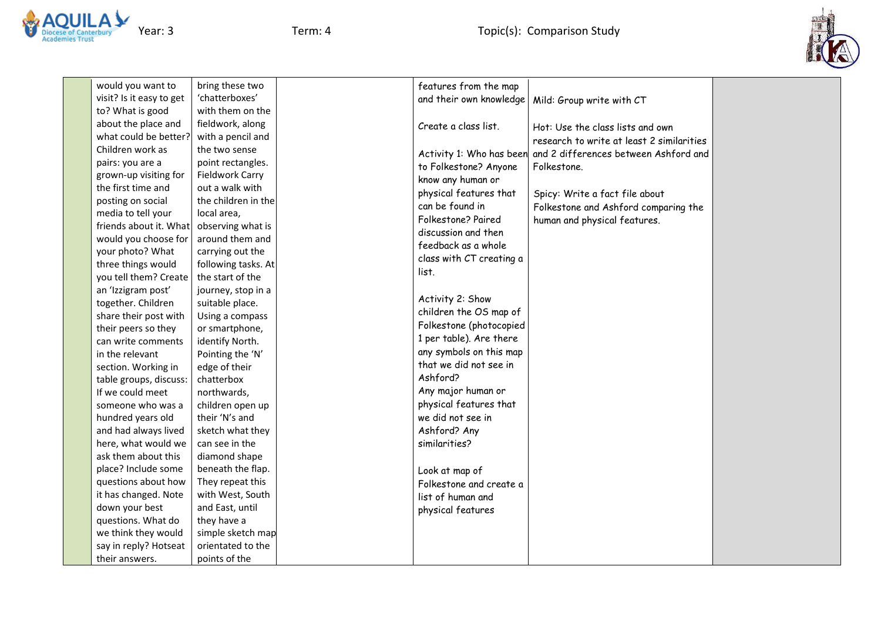



would you want to visit? Is it easy to get to? What is good about the place and what could be better? Children work as pairs: you are a grown-up visiting for the first time and posting on social media to tell your friends about it. What would you choose for your photo? What three things would you tell them? Create an 'Izzigram post' together. Children share their post with their peers so they can write comments in the relevant section. Working in table groups, discuss: If we could meet someone who was a hundred years old and had always lived here, what would we ask them about this place? Include some questions about how it has changed. Note down your best questions. What do we think they would say in reply? Hotseat their answers.

bring these two 'chatterboxes' with them on the fieldwork, along with a pencil and the two sense point rectangles. Fieldwork Carry out a walk with the children in the local area, observing what is around them and carrying out the following tasks. At the start of the journey, stop in a suitable place. Using a compass or smartphone, identify North. Pointing the 'N' edge of their chatterbox northwards, children open up their 'N's and sketch what they can see in the diamond shape beneath the flap. They repeat this with West, South and East, until they have a simple sketch map orientated to the points of the

| features from the map<br>and their own knowledge                                                                                                                                                                                                                        | Mild: Group write with CT                                                                              |
|-------------------------------------------------------------------------------------------------------------------------------------------------------------------------------------------------------------------------------------------------------------------------|--------------------------------------------------------------------------------------------------------|
| Create a class list.                                                                                                                                                                                                                                                    | Hot: Use the class lists and own<br>research to write at least 2 similarities                          |
| Activity 1: Who has been<br>to Folkestone? Anyone<br>know any human or                                                                                                                                                                                                  | and 2 differences between Ashford and<br>Folkestone.                                                   |
| physical features that<br>can be found in<br>Folkestone? Paired<br>discussion and then<br>feedback as a whole<br>class with CT creating a<br>list                                                                                                                       | Spicy: Write a fact file about<br>Folkestone and Ashford comparing the<br>human and physical features. |
| Activity 2: Show<br>children the OS map of<br>Folkestone (photocopied<br>1 per table). Are there<br>any symbols on this map<br>that we did not see in<br>Ashford?<br>Any major human or<br>physical features that<br>we did not see in<br>Ashford? Any<br>similarities? |                                                                                                        |
| Look at map of<br>Folkestone and create a<br>list of human and<br>physical features                                                                                                                                                                                     |                                                                                                        |
|                                                                                                                                                                                                                                                                         |                                                                                                        |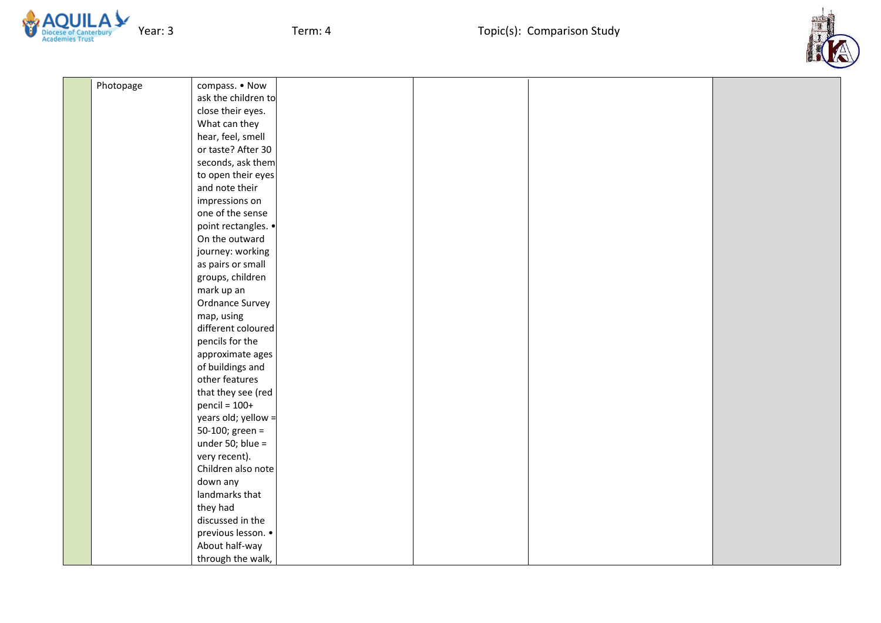

Year: 3 Term: 4 Term: 4 Term: 4 Topic(s): Comparison Study



| Photopage | compass. • Now      |  |  |
|-----------|---------------------|--|--|
|           | ask the children to |  |  |
|           | close their eyes.   |  |  |
|           | What can they       |  |  |
|           | hear, feel, smell   |  |  |
|           | or taste? After 30  |  |  |
|           | seconds, ask them   |  |  |
|           | to open their eyes  |  |  |
|           | and note their      |  |  |
|           | impressions on      |  |  |
|           | one of the sense    |  |  |
|           | point rectangles. • |  |  |
|           | On the outward      |  |  |
|           | journey: working    |  |  |
|           | as pairs or small   |  |  |
|           | groups, children    |  |  |
|           | mark up an          |  |  |
|           | Ordnance Survey     |  |  |
|           | map, using          |  |  |
|           | different coloured  |  |  |
|           | pencils for the     |  |  |
|           | approximate ages    |  |  |
|           | of buildings and    |  |  |
|           | other features      |  |  |
|           | that they see (red  |  |  |
|           | $pencil = 100+$     |  |  |
|           | years old; yellow = |  |  |
|           | 50-100; green =     |  |  |
|           | under 50; blue =    |  |  |
|           | very recent).       |  |  |
|           | Children also note  |  |  |
|           | down any            |  |  |
|           | landmarks that      |  |  |
|           | they had            |  |  |
|           | discussed in the    |  |  |
|           | previous lesson. •  |  |  |
|           | About half-way      |  |  |
|           | through the walk,   |  |  |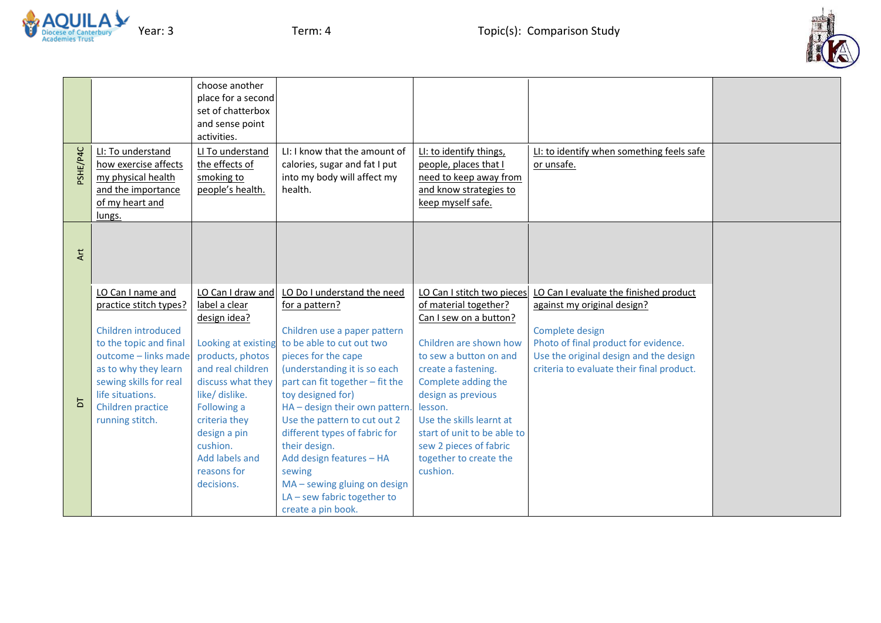



| <b>JPd/3HSc</b> | LI: To understand<br>how exercise affects<br>my physical health<br>and the importance<br>of my heart and                                                                                                                           | choose another<br>place for a second<br>set of chatterbox<br>and sense point<br>activities.<br>LI To understand<br>the effects of<br>smoking to<br>people's health.                                                                                                  | LI: I know that the amount of<br>calories, sugar and fat I put<br>into my body will affect my<br>health.                                                                                                                                                                                                                                                                                                                                                                   | LI: to identify things,<br>people, places that I<br>need to keep away from<br>and know strategies to<br>keep myself safe.                                                                                                                                                                                                                   | LI: to identify when something feels safe<br>or unsafe.                                                                                                                                                                 |  |
|-----------------|------------------------------------------------------------------------------------------------------------------------------------------------------------------------------------------------------------------------------------|----------------------------------------------------------------------------------------------------------------------------------------------------------------------------------------------------------------------------------------------------------------------|----------------------------------------------------------------------------------------------------------------------------------------------------------------------------------------------------------------------------------------------------------------------------------------------------------------------------------------------------------------------------------------------------------------------------------------------------------------------------|---------------------------------------------------------------------------------------------------------------------------------------------------------------------------------------------------------------------------------------------------------------------------------------------------------------------------------------------|-------------------------------------------------------------------------------------------------------------------------------------------------------------------------------------------------------------------------|--|
| Art             | lungs.                                                                                                                                                                                                                             |                                                                                                                                                                                                                                                                      |                                                                                                                                                                                                                                                                                                                                                                                                                                                                            |                                                                                                                                                                                                                                                                                                                                             |                                                                                                                                                                                                                         |  |
| $\overline{D}$  | LO Can I name and<br>practice stitch types?<br>Children introduced<br>to the topic and final<br>outcome - links made<br>as to why they learn<br>sewing skills for real<br>life situations.<br>Children practice<br>running stitch. | LO Can I draw and<br>label a clear<br>design idea?<br>Looking at existing<br>products, photos<br>and real children<br>discuss what they<br>like/ dislike.<br>Following a<br>criteria they<br>design a pin<br>cushion.<br>Add labels and<br>reasons for<br>decisions. | LO Do I understand the need<br>for a pattern?<br>Children use a paper pattern<br>to be able to cut out two<br>pieces for the cape<br>(understanding it is so each<br>part can fit together - fit the<br>toy designed for)<br>HA - design their own pattern.<br>Use the pattern to cut out 2<br>different types of fabric for<br>their design.<br>Add design features - HA<br>sewing<br>MA - sewing gluing on design<br>$LA$ – sew fabric together to<br>create a pin book. | LO Can I stitch two pieces<br>of material together?<br>Can I sew on a button?<br>Children are shown how<br>to sew a button on and<br>create a fastening.<br>Complete adding the<br>design as previous<br>lesson.<br>Use the skills learnt at<br>start of unit to be able to<br>sew 2 pieces of fabric<br>together to create the<br>cushion. | LO Can I evaluate the finished product<br>against my original design?<br>Complete design<br>Photo of final product for evidence.<br>Use the original design and the design<br>criteria to evaluate their final product. |  |